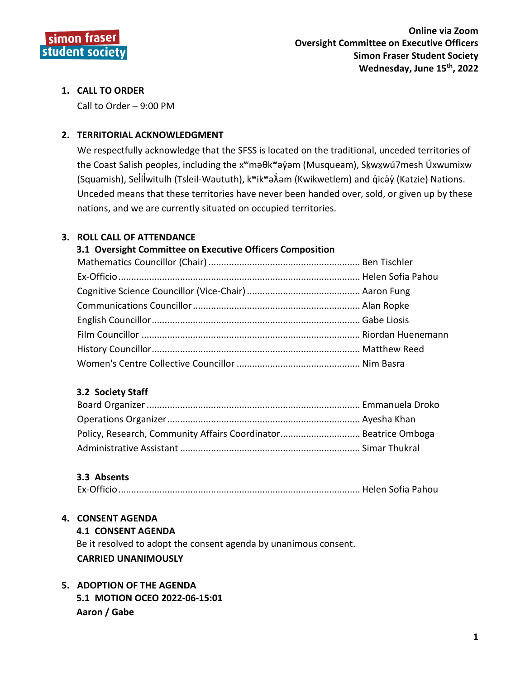

# **1. CALL TO ORDER**

Call to Order – 9:00 PM

# **2. TERRITORIAL ACKNOWLEDGMENT**

We respectfully acknowledge that the SFSS is located on the traditional, unceded territories of the Coast Salish peoples, including the x<sup>w</sup>məθk<sup>w</sup>əỷəm (Musqueam), Skwxwú7mesh Úxwumixw (Squamish), Selilwitulh (Tsleil-Waututh), k<sup>w</sup>ik<sup>w</sup>ə $\hat{x}$ əm (Kwikwetlem) and qıcəv (Katzie) Nations. Unceded means that these territories have never been handed over, sold, or given up by these nations, and we are currently situated on occupied territories.

# **3. ROLL CALL OF ATTENDANCE**

## **3.1 Oversight Committee on Executive Officers Composition**

# **3.2 Society Staff**

# **3.3 Absents**

|--|--|--|

# **4. CONSENT AGENDA**

#### **4.1 CONSENT AGENDA**

Be it resolved to adopt the consent agenda by unanimous consent. **CARRIED UNANIMOUSLY**

# **5. ADOPTION OF THE AGENDA 5.1 MOTION OCEO 2022-06-15:01 Aaron / Gabe**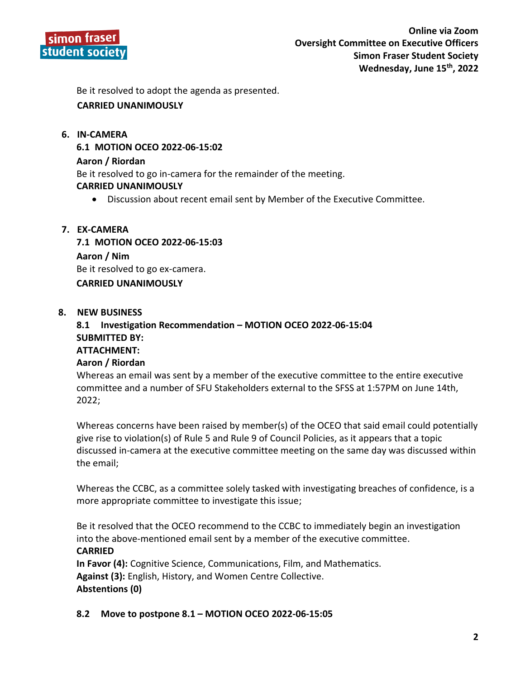

Be it resolved to adopt the agenda as presented.

# **CARRIED UNANIMOUSLY**

#### **6. IN-CAMERA**

**6.1 MOTION OCEO 2022-06-15:02**

#### **Aaron / Riordan**

Be it resolved to go in-camera for the remainder of the meeting.

#### **CARRIED UNANIMOUSLY**

Discussion about recent email sent by Member of the Executive Committee.

### **7. EX-CAMERA**

**7.1 MOTION OCEO 2022-06-15:03 Aaron / Nim** Be it resolved to go ex-camera. **CARRIED UNANIMOUSLY**

#### **8. NEW BUSINESS**

**8.1 Investigation Recommendation – MOTION OCEO 2022-06-15:04 SUBMITTED BY: ATTACHMENT: Aaron / Riordan** 

Whereas an email was sent by a member of the executive committee to the entire executive committee and a number of SFU Stakeholders external to the SFSS at 1:57PM on June 14th, 2022;

Whereas concerns have been raised by member(s) of the OCEO that said email could potentially give rise to violation(s) of Rule 5 and Rule 9 of Council Policies, as it appears that a topic discussed in-camera at the executive committee meeting on the same day was discussed within the email;

Whereas the CCBC, as a committee solely tasked with investigating breaches of confidence, is a more appropriate committee to investigate this issue;

Be it resolved that the OCEO recommend to the CCBC to immediately begin an investigation into the above-mentioned email sent by a member of the executive committee. **CARRIED**

**In Favor (4):** Cognitive Science, Communications, Film, and Mathematics. **Against (3):** English, History, and Women Centre Collective. **Abstentions (0)**

**8.2 Move to postpone 8.1 – MOTION OCEO 2022-06-15:05**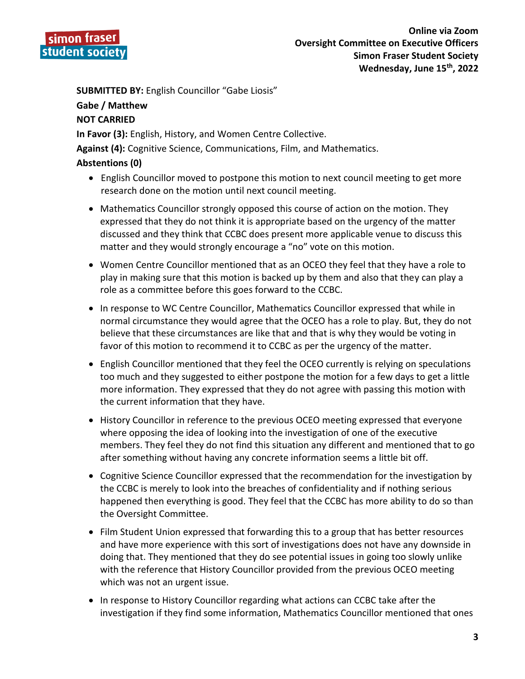

**SUBMITTED BY:** English Councillor "Gabe Liosis"

# **Gabe / Matthew**

# **NOT CARRIED**

**In Favor (3):** English, History, and Women Centre Collective.

**Against (4):** Cognitive Science, Communications, Film, and Mathematics.

# **Abstentions (0)**

- English Councillor moved to postpone this motion to next council meeting to get more research done on the motion until next council meeting.
- Mathematics Councillor strongly opposed this course of action on the motion. They expressed that they do not think it is appropriate based on the urgency of the matter discussed and they think that CCBC does present more applicable venue to discuss this matter and they would strongly encourage a "no" vote on this motion.
- Women Centre Councillor mentioned that as an OCEO they feel that they have a role to play in making sure that this motion is backed up by them and also that they can play a role as a committee before this goes forward to the CCBC.
- In response to WC Centre Councillor, Mathematics Councillor expressed that while in normal circumstance they would agree that the OCEO has a role to play. But, they do not believe that these circumstances are like that and that is why they would be voting in favor of this motion to recommend it to CCBC as per the urgency of the matter.
- English Councillor mentioned that they feel the OCEO currently is relying on speculations too much and they suggested to either postpone the motion for a few days to get a little more information. They expressed that they do not agree with passing this motion with the current information that they have.
- History Councillor in reference to the previous OCEO meeting expressed that everyone where opposing the idea of looking into the investigation of one of the executive members. They feel they do not find this situation any different and mentioned that to go after something without having any concrete information seems a little bit off.
- Cognitive Science Councillor expressed that the recommendation for the investigation by the CCBC is merely to look into the breaches of confidentiality and if nothing serious happened then everything is good. They feel that the CCBC has more ability to do so than the Oversight Committee.
- Film Student Union expressed that forwarding this to a group that has better resources and have more experience with this sort of investigations does not have any downside in doing that. They mentioned that they do see potential issues in going too slowly unlike with the reference that History Councillor provided from the previous OCEO meeting which was not an urgent issue.
- In response to History Councillor regarding what actions can CCBC take after the investigation if they find some information, Mathematics Councillor mentioned that ones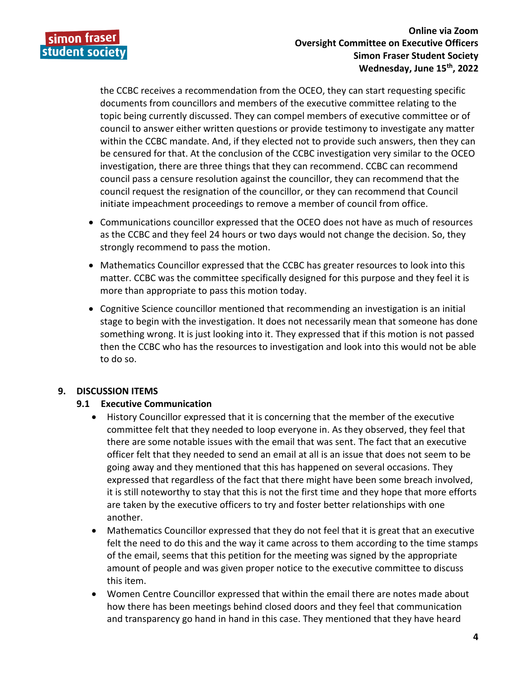

the CCBC receives a recommendation from the OCEO, they can start requesting specific documents from councillors and members of the executive committee relating to the topic being currently discussed. They can compel members of executive committee or of council to answer either written questions or provide testimony to investigate any matter within the CCBC mandate. And, if they elected not to provide such answers, then they can be censured for that. At the conclusion of the CCBC investigation very similar to the OCEO investigation, there are three things that they can recommend. CCBC can recommend council pass a censure resolution against the councillor, they can recommend that the council request the resignation of the councillor, or they can recommend that Council initiate impeachment proceedings to remove a member of council from office.

- Communications councillor expressed that the OCEO does not have as much of resources as the CCBC and they feel 24 hours or two days would not change the decision. So, they strongly recommend to pass the motion.
- Mathematics Councillor expressed that the CCBC has greater resources to look into this matter. CCBC was the committee specifically designed for this purpose and they feel it is more than appropriate to pass this motion today.
- Cognitive Science councillor mentioned that recommending an investigation is an initial stage to begin with the investigation. It does not necessarily mean that someone has done something wrong. It is just looking into it. They expressed that if this motion is not passed then the CCBC who has the resources to investigation and look into this would not be able to do so.

# **9. DISCUSSION ITEMS**

# **9.1 Executive Communication**

- History Councillor expressed that it is concerning that the member of the executive committee felt that they needed to loop everyone in. As they observed, they feel that there are some notable issues with the email that was sent. The fact that an executive officer felt that they needed to send an email at all is an issue that does not seem to be going away and they mentioned that this has happened on several occasions. They expressed that regardless of the fact that there might have been some breach involved, it is still noteworthy to stay that this is not the first time and they hope that more efforts are taken by the executive officers to try and foster better relationships with one another.
- Mathematics Councillor expressed that they do not feel that it is great that an executive felt the need to do this and the way it came across to them according to the time stamps of the email, seems that this petition for the meeting was signed by the appropriate amount of people and was given proper notice to the executive committee to discuss this item.
- Women Centre Councillor expressed that within the email there are notes made about how there has been meetings behind closed doors and they feel that communication and transparency go hand in hand in this case. They mentioned that they have heard